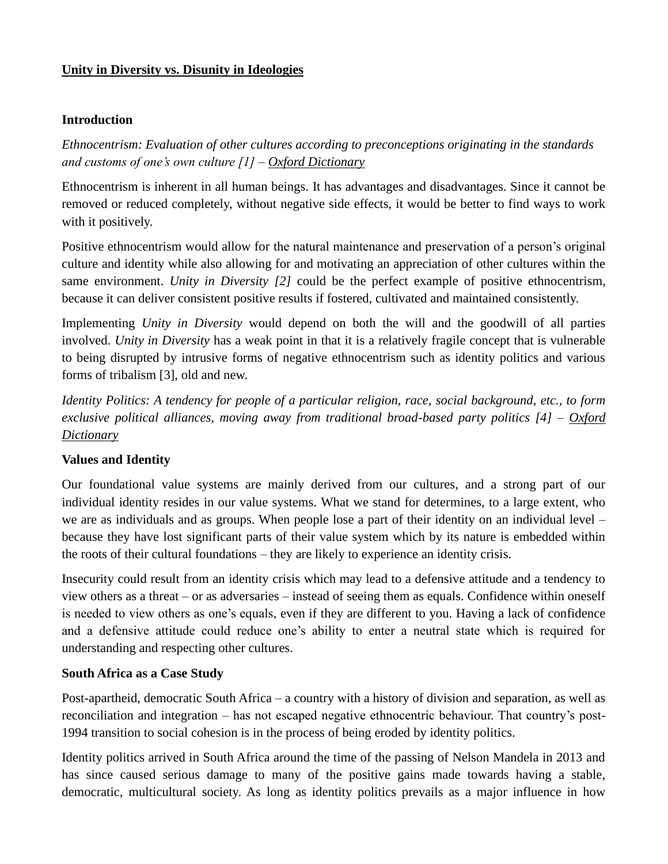## **Unity in Diversity vs. Disunity in Ideologies**

### **Introduction**

*Ethnocentrism: Evaluation of other cultures according to preconceptions originating in the standards and customs of one's own culture [1] – [Oxford Dictionary](https://en.oxforddictionaries.com/definition/ethnocentrism)*

Ethnocentrism is inherent in all human beings. It has advantages and disadvantages. Since it cannot be removed or reduced completely, without negative side effects, it would be better to find ways to work with it positively.

Positive ethnocentrism would allow for the natural maintenance and preservation of a person's original culture and identity while also allowing for and motivating an appreciation of other cultures within the same environment. *Unity in Diversity [2]* could be the perfect example of positive ethnocentrism, because it can deliver consistent positive results if fostered, cultivated and maintained consistently.

Implementing *Unity in Diversity* would depend on both the will and the goodwill of all parties involved. *Unity in Diversity* has a weak point in that it is a relatively fragile concept that is vulnerable to being disrupted by intrusive forms of negative ethnocentrism such as identity politics and various forms of tribalism [3], old and new.

*Identity Politics: A tendency for people of a particular religion, race, social background, etc., to form exclusive political alliances, moving away from traditional broad-based party politics [4] – [Oxford](https://en.oxforddictionaries.com/definition/identity_politics)  [Dictionary](https://en.oxforddictionaries.com/definition/identity_politics)*

## **Values and Identity**

Our foundational value systems are mainly derived from our cultures, and a strong part of our individual identity resides in our value systems. What we stand for determines, to a large extent, who we are as individuals and as groups. When people lose a part of their identity on an individual level – because they have lost significant parts of their value system which by its nature is embedded within the roots of their cultural foundations – they are likely to experience an identity crisis.

Insecurity could result from an identity crisis which may lead to a defensive attitude and a tendency to view others as a threat – or as adversaries – instead of seeing them as equals. Confidence within oneself is needed to view others as one's equals, even if they are different to you. Having a lack of confidence and a defensive attitude could reduce one's ability to enter a neutral state which is required for understanding and respecting other cultures.

## **South Africa as a Case Study**

Post-apartheid, democratic South Africa – a country with a history of division and separation, as well as reconciliation and integration – has not escaped negative ethnocentric behaviour. That country's post-1994 transition to social cohesion is in the process of being eroded by identity politics.

Identity politics arrived in South Africa around the time of the passing of Nelson Mandela in 2013 and has since caused serious damage to many of the positive gains made towards having a stable, democratic, multicultural society. As long as identity politics prevails as a major influence in how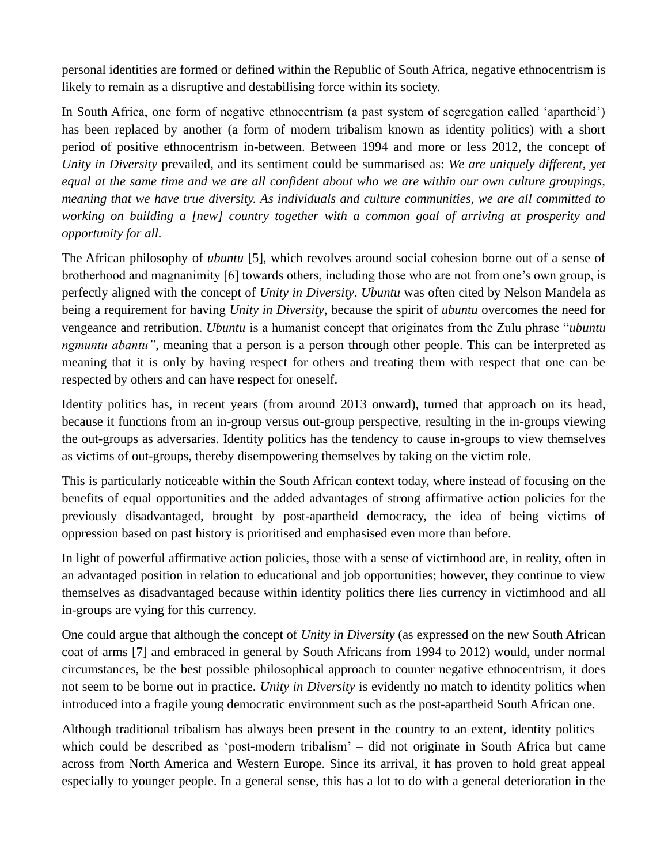personal identities are formed or defined within the Republic of South Africa, negative ethnocentrism is likely to remain as a disruptive and destabilising force within its society.

In South Africa, one form of negative ethnocentrism (a past system of segregation called 'apartheid') has been replaced by another (a form of modern tribalism known as identity politics) with a short period of positive ethnocentrism in-between. Between 1994 and more or less 2012, the concept of *Unity in Diversity* prevailed, and its sentiment could be summarised as: *We are uniquely different, yet equal at the same time and we are all confident about who we are within our own culture groupings, meaning that we have true diversity. As individuals and culture communities, we are all committed to working on building a [new] country together with a common goal of arriving at prosperity and opportunity for all.*

The African philosophy of *ubuntu* [5], which revolves around social cohesion borne out of a sense of brotherhood and magnanimity [6] towards others, including those who are not from one's own group, is perfectly aligned with the concept of *Unity in Diversity*. *Ubuntu* was often cited by Nelson Mandela as being a requirement for having *Unity in Diversity*, because the spirit of *ubuntu* overcomes the need for vengeance and retribution. *Ubuntu* is a humanist concept that originates from the Zulu phrase "*ubuntu ngmuntu abantu"*, meaning that a person is a person through other people. This can be interpreted as meaning that it is only by having respect for others and treating them with respect that one can be respected by others and can have respect for oneself.

Identity politics has, in recent years (from around 2013 onward), turned that approach on its head, because it functions from an in-group versus out-group perspective, resulting in the in-groups viewing the out-groups as adversaries. Identity politics has the tendency to cause in-groups to view themselves as victims of out-groups, thereby disempowering themselves by taking on the victim role.

This is particularly noticeable within the South African context today, where instead of focusing on the benefits of equal opportunities and the added advantages of strong affirmative action policies for the previously disadvantaged, brought by post-apartheid democracy, the idea of being victims of oppression based on past history is prioritised and emphasised even more than before.

In light of powerful affirmative action policies, those with a sense of victimhood are, in reality, often in an advantaged position in relation to educational and job opportunities; however, they continue to view themselves as disadvantaged because within identity politics there lies currency in victimhood and all in-groups are vying for this currency.

One could argue that although the concept of *Unity in Diversity* (as expressed on the new South African coat of arms [7] and embraced in general by South Africans from 1994 to 2012) would, under normal circumstances, be the best possible philosophical approach to counter negative ethnocentrism, it does not seem to be borne out in practice. *Unity in Diversity* is evidently no match to identity politics when introduced into a fragile young democratic environment such as the post-apartheid South African one.

Although traditional tribalism has always been present in the country to an extent, identity politics – which could be described as 'post-modern tribalism' – did not originate in South Africa but came across from North America and Western Europe. Since its arrival, it has proven to hold great appeal especially to younger people. In a general sense, this has a lot to do with a general deterioration in the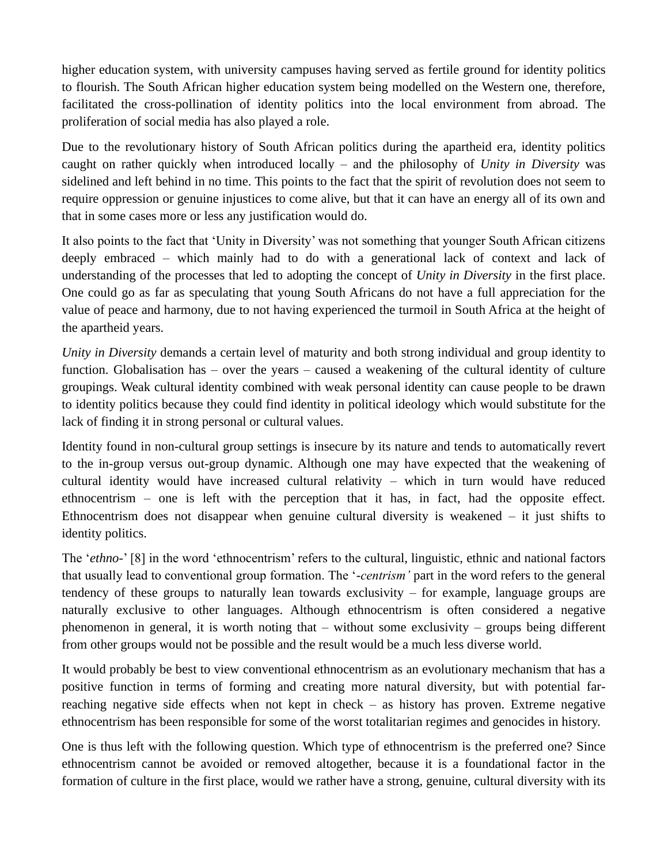higher education system, with university campuses having served as fertile ground for identity politics to flourish. The South African higher education system being modelled on the Western one, therefore, facilitated the cross-pollination of identity politics into the local environment from abroad. The proliferation of social media has also played a role.

Due to the revolutionary history of South African politics during the apartheid era, identity politics caught on rather quickly when introduced locally – and the philosophy of *Unity in Diversity* was sidelined and left behind in no time. This points to the fact that the spirit of revolution does not seem to require oppression or genuine injustices to come alive, but that it can have an energy all of its own and that in some cases more or less any justification would do.

It also points to the fact that 'Unity in Diversity' was not something that younger South African citizens deeply embraced – which mainly had to do with a generational lack of context and lack of understanding of the processes that led to adopting the concept of *Unity in Diversity* in the first place. One could go as far as speculating that young South Africans do not have a full appreciation for the value of peace and harmony, due to not having experienced the turmoil in South Africa at the height of the apartheid years.

*Unity in Diversity* demands a certain level of maturity and both strong individual and group identity to function. Globalisation has – over the years – caused a weakening of the cultural identity of culture groupings. Weak cultural identity combined with weak personal identity can cause people to be drawn to identity politics because they could find identity in political ideology which would substitute for the lack of finding it in strong personal or cultural values.

Identity found in non-cultural group settings is insecure by its nature and tends to automatically revert to the in-group versus out-group dynamic. Although one may have expected that the weakening of cultural identity would have increased cultural relativity – which in turn would have reduced ethnocentrism – one is left with the perception that it has, in fact, had the opposite effect. Ethnocentrism does not disappear when genuine cultural diversity is weakened – it just shifts to identity politics.

The '*ethno-*' [8] in the word 'ethnocentrism' refers to the cultural, linguistic, ethnic and national factors that usually lead to conventional group formation. The '*-centrism'* part in the word refers to the general tendency of these groups to naturally lean towards exclusivity – for example, language groups are naturally exclusive to other languages. Although ethnocentrism is often considered a negative phenomenon in general, it is worth noting that – without some exclusivity – groups being different from other groups would not be possible and the result would be a much less diverse world.

It would probably be best to view conventional ethnocentrism as an evolutionary mechanism that has a positive function in terms of forming and creating more natural diversity, but with potential farreaching negative side effects when not kept in check – as history has proven. Extreme negative ethnocentrism has been responsible for some of the worst totalitarian regimes and genocides in history.

One is thus left with the following question. Which type of ethnocentrism is the preferred one? Since ethnocentrism cannot be avoided or removed altogether, because it is a foundational factor in the formation of culture in the first place, would we rather have a strong, genuine, cultural diversity with its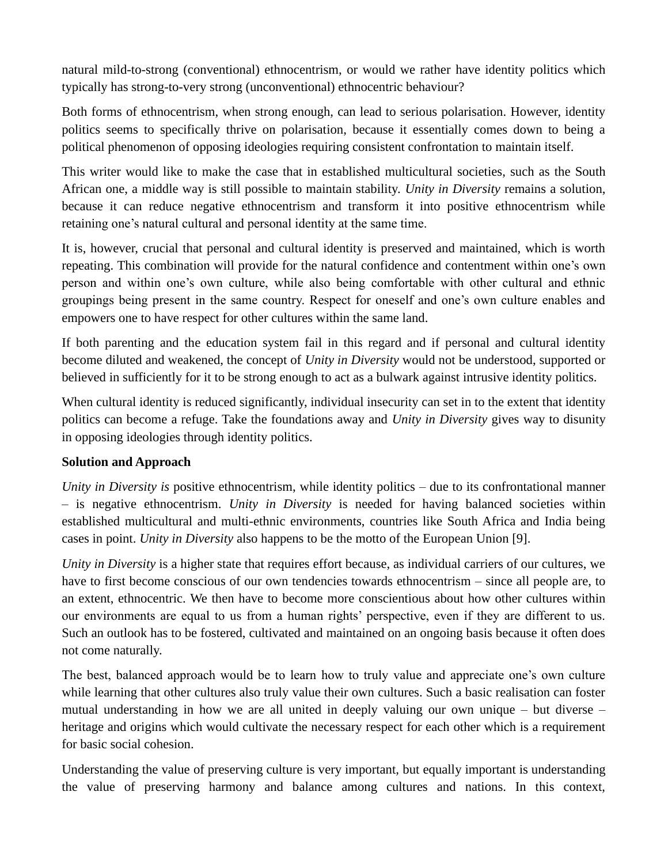natural mild-to-strong (conventional) ethnocentrism, or would we rather have identity politics which typically has strong-to-very strong (unconventional) ethnocentric behaviour?

Both forms of ethnocentrism, when strong enough, can lead to serious polarisation. However, identity politics seems to specifically thrive on polarisation, because it essentially comes down to being a political phenomenon of opposing ideologies requiring consistent confrontation to maintain itself.

This writer would like to make the case that in established multicultural societies, such as the South African one, a middle way is still possible to maintain stability. *Unity in Diversity* remains a solution, because it can reduce negative ethnocentrism and transform it into positive ethnocentrism while retaining one's natural cultural and personal identity at the same time.

It is, however, crucial that personal and cultural identity is preserved and maintained, which is worth repeating. This combination will provide for the natural confidence and contentment within one's own person and within one's own culture, while also being comfortable with other cultural and ethnic groupings being present in the same country. Respect for oneself and one's own culture enables and empowers one to have respect for other cultures within the same land.

If both parenting and the education system fail in this regard and if personal and cultural identity become diluted and weakened, the concept of *Unity in Diversity* would not be understood, supported or believed in sufficiently for it to be strong enough to act as a bulwark against intrusive identity politics.

When cultural identity is reduced significantly, individual insecurity can set in to the extent that identity politics can become a refuge. Take the foundations away and *Unity in Diversity* gives way to disunity in opposing ideologies through identity politics.

## **Solution and Approach**

*Unity in Diversity is* positive ethnocentrism, while identity politics – due to its confrontational manner – is negative ethnocentrism. *Unity in Diversity* is needed for having balanced societies within established multicultural and multi-ethnic environments, countries like South Africa and India being cases in point. *Unity in Diversity* also happens to be the motto of the European Union [9].

*Unity in Diversity* is a higher state that requires effort because, as individual carriers of our cultures, we have to first become conscious of our own tendencies towards ethnocentrism – since all people are, to an extent, ethnocentric. We then have to become more conscientious about how other cultures within our environments are equal to us from a human rights' perspective, even if they are different to us. Such an outlook has to be fostered, cultivated and maintained on an ongoing basis because it often does not come naturally.

The best, balanced approach would be to learn how to truly value and appreciate one's own culture while learning that other cultures also truly value their own cultures. Such a basic realisation can foster mutual understanding in how we are all united in deeply valuing our own unique – but diverse – heritage and origins which would cultivate the necessary respect for each other which is a requirement for basic social cohesion.

Understanding the value of preserving culture is very important, but equally important is understanding the value of preserving harmony and balance among cultures and nations. In this context,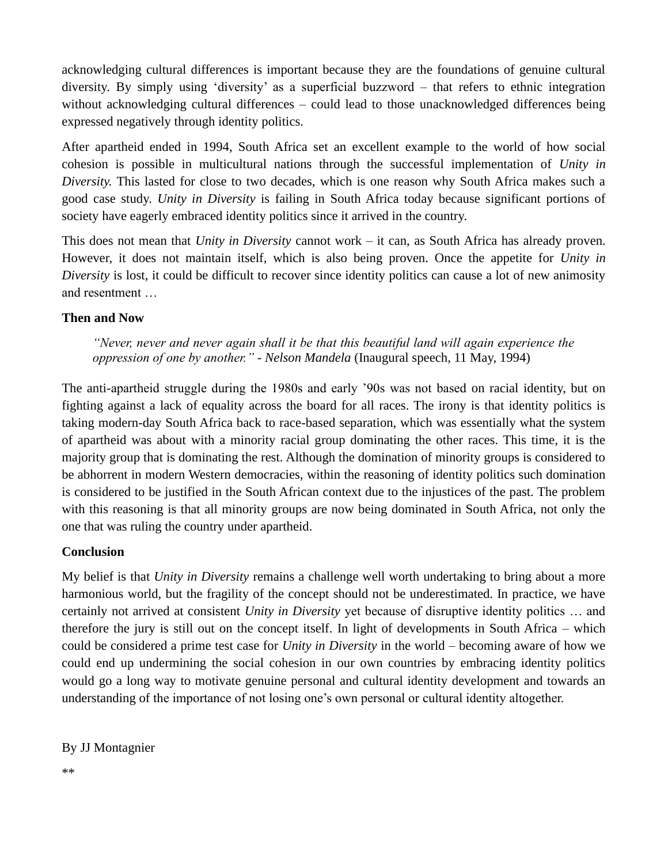acknowledging cultural differences is important because they are the foundations of genuine cultural diversity. By simply using 'diversity' as a superficial buzzword – that refers to ethnic integration without acknowledging cultural differences – could lead to those unacknowledged differences being expressed negatively through identity politics.

After apartheid ended in 1994, South Africa set an excellent example to the world of how social cohesion is possible in multicultural nations through the successful implementation of *Unity in Diversity.* This lasted for close to two decades, which is one reason why South Africa makes such a good case study. *Unity in Diversity* is failing in South Africa today because significant portions of society have eagerly embraced identity politics since it arrived in the country.

This does not mean that *Unity in Diversity* cannot work – it can, as South Africa has already proven. However, it does not maintain itself, which is also being proven. Once the appetite for *Unity in Diversity* is lost, it could be difficult to recover since identity politics can cause a lot of new animosity and resentment …

#### **Then and Now**

*"Never, never and never again shall it be that this beautiful land will again experience the oppression of one by another." - Nelson Mandela* (Inaugural speech, 11 May, 1994)

The anti-apartheid struggle during the 1980s and early '90s was not based on racial identity, but on fighting against a lack of equality across the board for all races. The irony is that identity politics is taking modern-day South Africa back to race-based separation, which was essentially what the system of apartheid was about with a minority racial group dominating the other races. This time, it is the majority group that is dominating the rest. Although the domination of minority groups is considered to be abhorrent in modern Western democracies, within the reasoning of identity politics such domination is considered to be justified in the South African context due to the injustices of the past. The problem with this reasoning is that all minority groups are now being dominated in South Africa, not only the one that was ruling the country under apartheid.

#### **Conclusion**

My belief is that *Unity in Diversity* remains a challenge well worth undertaking to bring about a more harmonious world, but the fragility of the concept should not be underestimated. In practice, we have certainly not arrived at consistent *Unity in Diversity* yet because of disruptive identity politics … and therefore the jury is still out on the concept itself. In light of developments in South Africa – which could be considered a prime test case for *Unity in Diversity* in the world – becoming aware of how we could end up undermining the social cohesion in our own countries by embracing identity politics would go a long way to motivate genuine personal and cultural identity development and towards an understanding of the importance of not losing one's own personal or cultural identity altogether.

By JJ Montagnier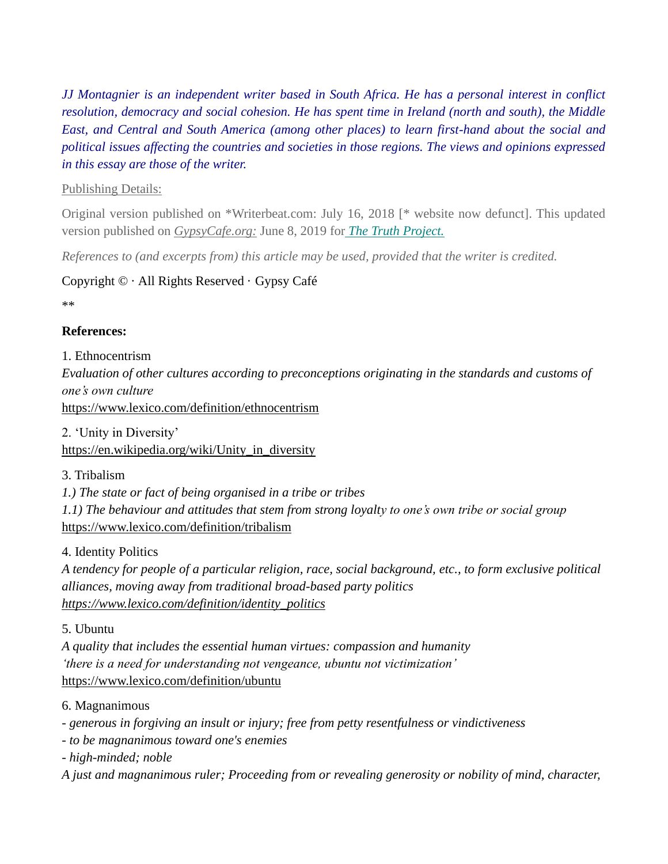*JJ Montagnier is an independent writer based in South Africa. He has a personal interest in conflict resolution, democracy and social cohesion. He has spent time in Ireland (north and south), the Middle East, and Central and South America (among other places) to learn first-hand about the social and political issues affecting the countries and societies in those regions. The views and opinions expressed in this essay are those of the writer.*

## Publishing Details:

Original version published on \*Writerbeat.com: July 16, 2018 [\* website now defunct]. This updated version published on *[GypsyCafe.org:](http://gypsycafe.org/2019/06/08/unity-in-diversity-vs-disunity-in-ideologies/)* June 8, 2019 for *[The Truth Project.](https://paintingsandadventures.wordpress.com/)*

*References to (and excerpts from) this article may be used, provided that the writer is credited.* 

## Copyright © · All Rights Reserved · Gypsy Café

\*\*

# **References:**

1. Ethnocentrism

*Evaluation of other cultures according to preconceptions originating in the standards and customs of one's own culture* 

<https://www.lexico.com/definition/ethnocentrism>

2. 'Unity in Diversity'

[https://en.wikipedia.org/wiki/Unity\\_in\\_diversity](https://en.wikipedia.org/wiki/Unity_in_diversity)

3. Tribalism

*1.) The state or fact of being organised in a tribe or tribes*

*1.1) The behaviour and attitudes that stem from strong loyalty to one's own tribe or social group* <https://www.lexico.com/definition/tribalism>

4. Identity Politics

*A tendency for people of a particular religion, race, social background, etc., to form exclusive political alliances, moving away from traditional broad-based party politics [https://www.lexico.com/definition/identity\\_politics](https://www.lexico.com/definition/identity_politics)*

# 5. Ubuntu

*A quality that includes the essential human virtues: compassion and humanity 'there is a need for understanding not vengeance, ubuntu not victimization'* <https://www.lexico.com/definition/ubuntu>

# 6. Magnanimous

*- generous in forgiving an insult or injury; free from petty resentfulness or vindictiveness*

*- to be magnanimous toward one's enemies*

*- high-minded; noble*

*A just and magnanimous ruler; Proceeding from or revealing generosity or nobility of mind, character,*